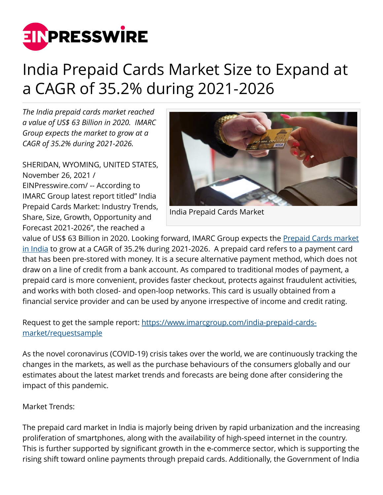

## India Prepaid Cards Market Size to Expand at a CAGR of 35.2% during 2021-2026

*The India prepaid cards market reached a value of US\$ 63 Billion in 2020. IMARC Group expects the market to grow at a CAGR of 35.2% during 2021-2026.* 

SHERIDAN, WYOMING, UNITED STATES, November 26, 2021 / [EINPresswire.com](http://www.einpresswire.com)/ -- According to IMARC Group latest report titled" India Prepaid Cards Market: Industry Trends, Share, Size, Growth, Opportunity and Forecast 2021-2026", the reached a



India Prepaid Cards Market

value of US\$ 63 Billion in 2020. Looking forward, IMARC Group expects the [Prepaid Cards market](https://www.imarcgroup.com/india-prepaid-cards-market) [in India](https://www.imarcgroup.com/india-prepaid-cards-market) to grow at a CAGR of 35.2% during 2021-2026. A prepaid card refers to a payment card that has been pre-stored with money. It is a secure alternative payment method, which does not draw on a line of credit from a bank account. As compared to traditional modes of payment, a prepaid card is more convenient, provides faster checkout, protects against fraudulent activities, and works with both closed- and open-loop networks. This card is usually obtained from a financial service provider and can be used by anyone irrespective of income and credit rating.

## Request to get the sample report: [https://www.imarcgroup.com/india-prepaid-cards](https://www.imarcgroup.com/india-prepaid-cards-market/requestsample)[market/requestsample](https://www.imarcgroup.com/india-prepaid-cards-market/requestsample)

As the novel coronavirus (COVID-19) crisis takes over the world, we are continuously tracking the changes in the markets, as well as the purchase behaviours of the consumers globally and our estimates about the latest market trends and forecasts are being done after considering the impact of this pandemic.

Market Trends:

The prepaid card market in India is majorly being driven by rapid urbanization and the increasing proliferation of smartphones, along with the availability of high-speed internet in the country. This is further supported by significant growth in the e-commerce sector, which is supporting the rising shift toward online payments through prepaid cards. Additionally, the Government of India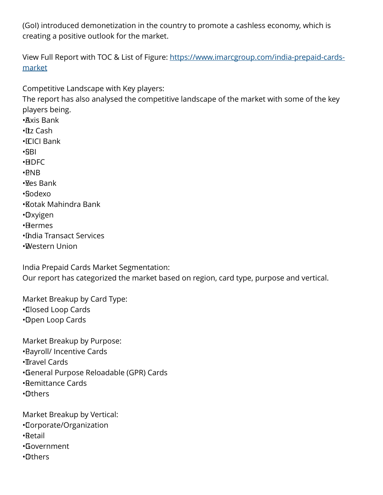(GoI) introduced demonetization in the country to promote a cashless economy, which is creating a positive outlook for the market.

View Full Report with TOC & List of Figure: [https://www.imarcgroup.com/india-prepaid-cards](https://www.imarcgroup.com/india-prepaid-cards-market)[market](https://www.imarcgroup.com/india-prepaid-cards-market)

Competitive Landscape with Key players:

The report has also analysed the competitive landscape of the market with some of the key players being.

• Axis Bank

 $\cdot$  Itz Cash

• ICICI Bank

• SBI

• HDFC

- • PNB
- $\cdot$  Mes Bank

• Sodexo

- • Kotak Mahindra Bank
- • Oxyigen
- • Hermes
- • India Transact Services
- • Western Union

India Prepaid Cards Market Segmentation:

Our report has categorized the market based on region, card type, purpose and vertical.

Market Breakup by Card Type: • Closed Loop Cards • Open Loop Cards

Market Breakup by Purpose:

- • Payroll/ Incentive Cards
- •**II**ravel Cards
- • General Purpose Reloadable (GPR) Cards
- • Remittance Cards
- • Others

Market Breakup by Vertical:

- • Corporate/Organization
- • Retail
- • Government
- • Others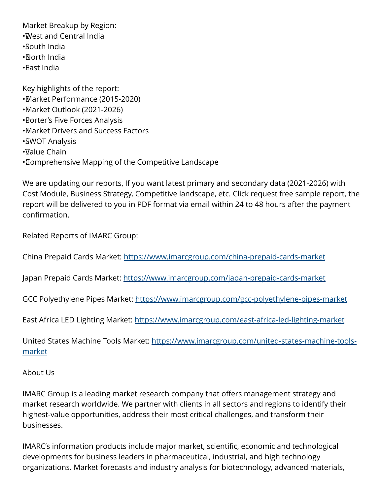Market Breakup by Region: • West and Central India • South India • North India • East India

Key highlights of the report: • Market Performance (2015-2020) • Market Outlook (2021-2026) **• Borter's Five Forces Analysis** • Market Drivers and Success Factors •**SWOT Analysis** • Value Chain • Comprehensive Mapping of the Competitive Landscape

We are updating our reports, If you want latest primary and secondary data (2021-2026) with Cost Module, Business Strategy, Competitive landscape, etc. Click request free sample report, the report will be delivered to you in PDF format via email within 24 to 48 hours after the payment confirmation.

Related Reports of IMARC Group:

China Prepaid Cards Market: <https://www.imarcgroup.com/china-prepaid-cards-market>

Japan Prepaid Cards Market:<https://www.imarcgroup.com/japan-prepaid-cards-market>

GCC Polyethylene Pipes Market:<https://www.imarcgroup.com/gcc-polyethylene-pipes-market>

East Africa LED Lighting Market:<https://www.imarcgroup.com/east-africa-led-lighting-market>

United States Machine Tools Market: [https://www.imarcgroup.com/united-states-machine-tools](https://www.imarcgroup.com/united-states-machine-tools-market)[market](https://www.imarcgroup.com/united-states-machine-tools-market)

## About Us

IMARC Group is a leading market research company that offers management strategy and market research worldwide. We partner with clients in all sectors and regions to identify their highest-value opportunities, address their most critical challenges, and transform their businesses.

IMARC's information products include major market, scientific, economic and technological developments for business leaders in pharmaceutical, industrial, and high technology organizations. Market forecasts and industry analysis for biotechnology, advanced materials,